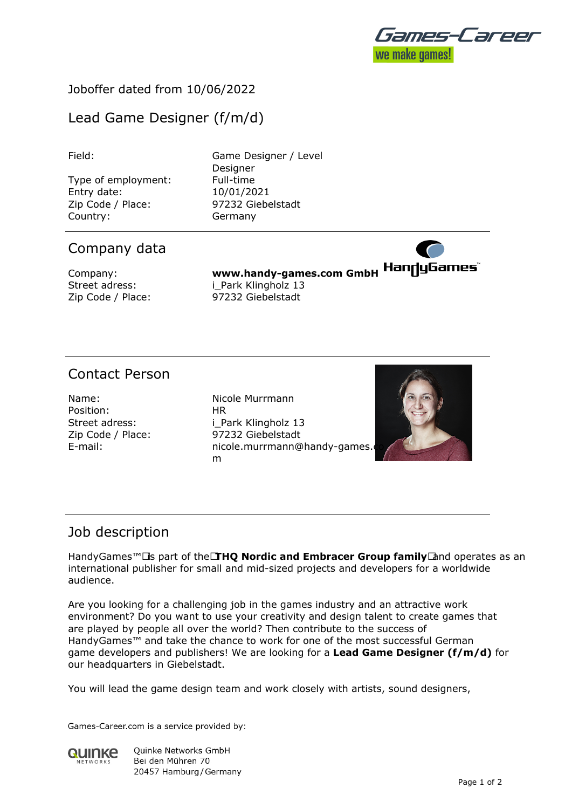

### Joboffer dated from 10/06/2022

# Lead Game Designer (f/m/d)

Type of employment: Full-time Entry date: 10/01/2021 Zip Code / Place: 97232 Giebelstadt Country: Germany

Field: Game Designer / Level **Designer** 

### Company data

Company: **www.handy-games.com GmbH** Street adress: i Park Klingholz 13 Zip Code / Place: 97232 Giebelstadt

## Contact Person

Name: Nicole Murrmann Position: HR

Street adress: i Park Klingholz 13 Zip Code / Place: 97232 Giebelstadt E-mail: nicole.murrmann@handy-games.com m



## Job description

HandyGames™ **Example 2 FHQ Nordic and Embracer Group family** and operates as an international publisher for small and mid-sized projects and developers for a worldwide audience.

Are you looking for a challenging job in the games industry and an attractive work environment? Do you want to use your creativity and design talent to create games that are played by people all over the world? Then contribute to the success of HandyGames™ and take the chance to work for one of the most successful German game developers and publishers! We are looking for a **Lead Game Designer (f/m/d)** for our headquarters in Giebelstadt.

You will lead the game design team and work closely with artists, sound designers,

Games-Career.com is a service provided by:



**Ouinke Networks GmbH** Bei den Mühren 70 20457 Hamburg / Germany